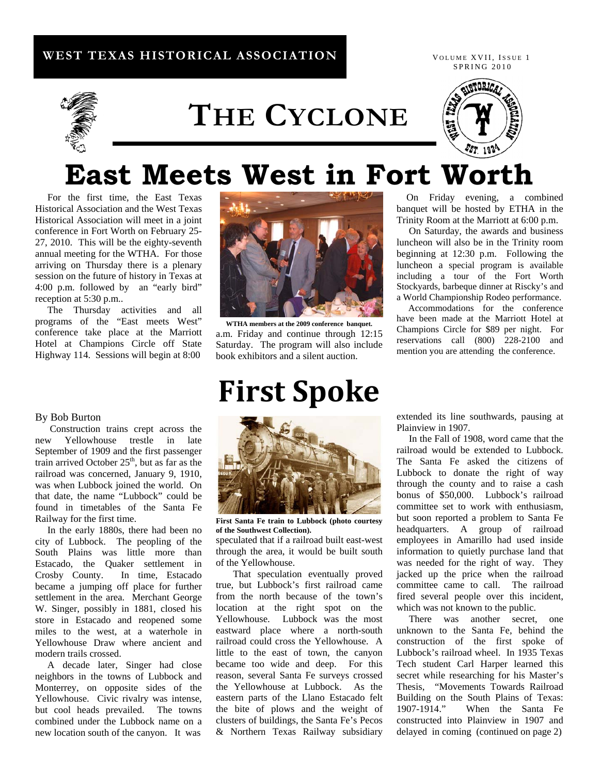### **WEST TEXAS HISTORICAL ASSOCIATION**

**SPRING 2010** VOLUME XVII, ISSUE 1

# **THE CYCLONE**



## **East Meets West in Fort Worth**

For the first time, the East Texas Historical Association and the West Texas Historical Association will meet in a joint conference in Fort Worth on February 25- 27, 2010. This will be the eighty-seventh annual meeting for the WTHA. For those arriving on Thursday there is a plenary session on the future of history in Texas at 4:00 p.m. followed by an "early bird" reception at 5:30 p.m..

 The Thursday activities and all programs of the "East meets West" conference take place at the Marriott Hotel at Champions Circle off State Highway 114. Sessions will begin at 8:00

### By Bob Burton

 Construction trains crept across the new Yellowhouse trestle in late September of 1909 and the first passenger train arrived October  $25<sup>th</sup>$ , but as far as the railroad was concerned, January 9, 1910, was when Lubbock joined the world. On that date, the name "Lubbock" could be found in timetables of the Santa Fe Railway for the first time.

 In the early 1880s, there had been no city of Lubbock. The peopling of the South Plains was little more than Estacado, the Quaker settlement in Crosby County. In time, Estacado became a jumping off place for further settlement in the area. Merchant George W. Singer, possibly in 1881, closed his store in Estacado and reopened some miles to the west, at a waterhole in Yellowhouse Draw where ancient and modern trails crossed.

 A decade later, Singer had close neighbors in the towns of Lubbock and Monterrey, on opposite sides of the Yellowhouse. Civic rivalry was intense, but cool heads prevailed. The towns combined under the Lubbock name on a new location south of the canyon. It was



**WTHA members at the 2009 conference banquet.**  a.m. Friday and continue through 12:15 Saturday. The program will also include book exhibitors and a silent auction.

## **First Spoke**



**First Santa Fe train to Lubbock (photo courtesy of the Southwest Collection).** 

speculated that if a railroad built east-west through the area, it would be built south of the Yellowhouse.

 That speculation eventually proved true, but Lubbock's first railroad came from the north because of the town's location at the right spot on the Yellowhouse. Lubbock was the most eastward place where a north-south railroad could cross the Yellowhouse. A little to the east of town, the canyon became too wide and deep. For this reason, several Santa Fe surveys crossed the Yellowhouse at Lubbock. As the eastern parts of the Llano Estacado felt the bite of plows and the weight of clusters of buildings, the Santa Fe's Pecos & Northern Texas Railway subsidiary

On Friday evening, a combined banquet will be hosted by ETHA in the Trinity Room at the Marriott at 6:00 p.m.

 On Saturday, the awards and business luncheon will also be in the Trinity room beginning at 12:30 p.m. Following the luncheon a special program is available including a tour of the Fort Worth Stockyards, barbeque dinner at Riscky's and a World Championship Rodeo performance.

 Accommodations for the conference have been made at the Marriott Hotel at Champions Circle for \$89 per night. For reservations call (800) 228-2100 and mention you are attending the conference.

extended its line southwards, pausing at Plainview in 1907.

 In the Fall of 1908, word came that the railroad would be extended to Lubbock. The Santa Fe asked the citizens of Lubbock to donate the right of way through the county and to raise a cash bonus of \$50,000. Lubbock's railroad committee set to work with enthusiasm, but soon reported a problem to Santa Fe headquarters. A group of railroad employees in Amarillo had used inside information to quietly purchase land that was needed for the right of way. They jacked up the price when the railroad committee came to call. The railroad fired several people over this incident, which was not known to the public.

 There was another secret, one unknown to the Santa Fe, behind the construction of the first spoke of Lubbock's railroad wheel. In 1935 Texas Tech student Carl Harper learned this secret while researching for his Master's Thesis, "Movements Towards Railroad Building on the South Plains of Texas: 1907-1914." When the Santa Fe constructed into Plainview in 1907 and delayed in coming (continued on page 2)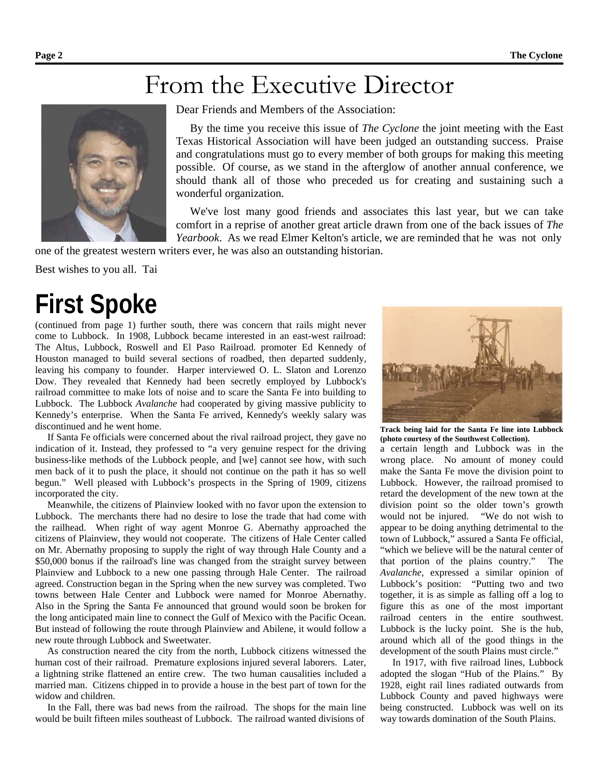## From the Executive Director



Dear Friends and Members of the Association:

By the time you receive this issue of *The Cyclone* the joint meeting with the East Texas Historical Association will have been judged an outstanding success. Praise and congratulations must go to every member of both groups for making this meeting possible. Of course, as we stand in the afterglow of another annual conference, we should thank all of those who preceded us for creating and sustaining such a wonderful organization.

We've lost many good friends and associates this last year, but we can take comfort in a reprise of another great article drawn from one of the back issues of *The Yearbook*. As we read Elmer Kelton's article, we are reminded that he was not only

one of the greatest western writers ever, he was also an outstanding historian.

Best wishes to you all. Tai

## **First Spoke**

(continued from page 1) further south, there was concern that rails might never come to Lubbock. In 1908, Lubbock became interested in an east-west railroad: The Altus, Lubbock, Roswell and El Paso Railroad. promoter Ed Kennedy of Houston managed to build several sections of roadbed, then departed suddenly, leaving his company to founder. Harper interviewed O. L. Slaton and Lorenzo Dow. They revealed that Kennedy had been secretly employed by Lubbock's railroad committee to make lots of noise and to scare the Santa Fe into building to Lubbock. The Lubbock *Avalanche* had cooperated by giving massive publicity to Kennedy's enterprise. When the Santa Fe arrived, Kennedy's weekly salary was discontinued and he went home.

 If Santa Fe officials were concerned about the rival railroad project, they gave no indication of it. Instead, they professed to "a very genuine respect for the driving business-like methods of the Lubbock people, and [we] cannot see how, with such men back of it to push the place, it should not continue on the path it has so well begun." Well pleased with Lubbock's prospects in the Spring of 1909, citizens incorporated the city.

Meanwhile, the citizens of Plainview looked with no favor upon the extension to Lubbock. The merchants there had no desire to lose the trade that had come with the railhead. When right of way agent Monroe G. Abernathy approached the citizens of Plainview, they would not cooperate. The citizens of Hale Center called on Mr. Abernathy proposing to supply the right of way through Hale County and a \$50,000 bonus if the railroad's line was changed from the straight survey between Plainview and Lubbock to a new one passing through Hale Center. The railroad agreed. Construction began in the Spring when the new survey was completed. Two towns between Hale Center and Lubbock were named for Monroe Abernathy. Also in the Spring the Santa Fe announced that ground would soon be broken for the long anticipated main line to connect the Gulf of Mexico with the Pacific Ocean. But instead of following the route through Plainview and Abilene, it would follow a new route through Lubbock and Sweetwater.

As construction neared the city from the north, Lubbock citizens witnessed the human cost of their railroad. Premature explosions injured several laborers. Later, a lightning strike flattened an entire crew. The two human causalities included a married man. Citizens chipped in to provide a house in the best part of town for the widow and children.

In the Fall, there was bad news from the railroad. The shops for the main line would be built fifteen miles southeast of Lubbock. The railroad wanted divisions of



**Track being laid for the Santa Fe line into Lubbock (photo courtesy of the Southwest Collection).** 

a certain length and Lubbock was in the wrong place. No amount of money could make the Santa Fe move the division point to Lubbock. However, the railroad promised to retard the development of the new town at the division point so the older town's growth would not be injured. "We do not wish to appear to be doing anything detrimental to the town of Lubbock," assured a Santa Fe official, "which we believe will be the natural center of that portion of the plains country." The *Avalanche*, expressed a similar opinion of Lubbock's position: "Putting two and two together, it is as simple as falling off a log to figure this as one of the most important railroad centers in the entire southwest. Lubbock is the lucky point. She is the hub, around which all of the good things in the development of the south Plains must circle."

 In 1917, with five railroad lines, Lubbock adopted the slogan "Hub of the Plains." By 1928, eight rail lines radiated outwards from Lubbock County and paved highways were being constructed. Lubbock was well on its way towards domination of the South Plains.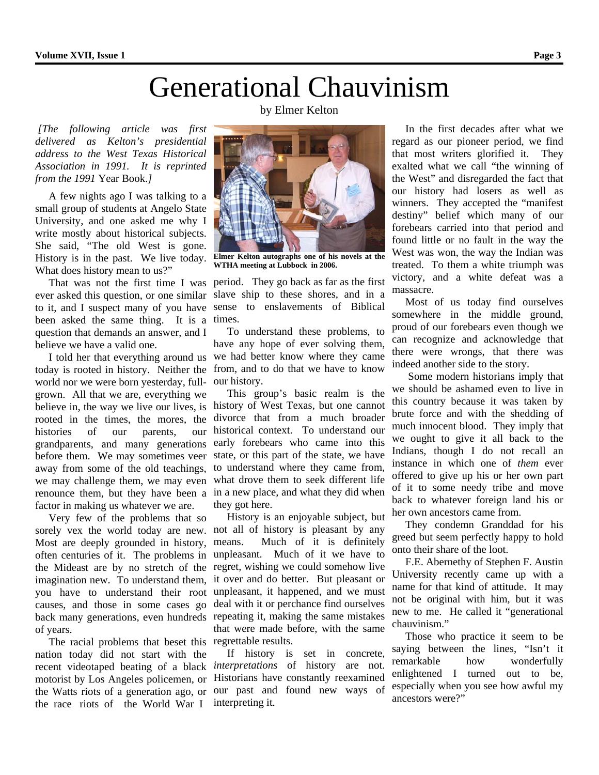## Generational Chauvinism

by Elmer Kelton

*[The following article was first delivered as Kelton's presidential address to the West Texas Historical Association in 1991. It is reprinted from the 1991* Year Book.*]* 

A few nights ago I was talking to a small group of students at Angelo State University, and one asked me why I write mostly about historical subjects. She said, "The old West is gone. History is in the past. We live today. What does history mean to us?"

ever asked this question, or one similar slave ship to these shores, and in a to it, and I suspect many of you have sense to enslavements of Biblical been asked the same thing. It is a question that demands an answer, and I believe we have a valid one.

 I told her that everything around us today is rooted in history. Neither the world nor we were born yesterday, fullgrown. All that we are, everything we believe in, the way we live our lives, is rooted in the times, the mores, the histories of our parents, our grandparents, and many generations before them. We may sometimes veer away from some of the old teachings, we may challenge them, we may even renounce them, but they have been a factor in making us whatever we are.

 Very few of the problems that so sorely vex the world today are new. not all of history is pleasant by any Most are deeply grounded in history, often centuries of it. The problems in the Mideast are by no stretch of the regret, wishing we could somehow live imagination new. To understand them, you have to understand their root causes, and those in some cases go back many generations, even hundreds of years.

 The racial problems that beset this regrettable results. nation today did not start with the recent videotaped beating of a black *interpretations* of history are not. motorist by Los Angeles policemen, or Historians have constantly reexamined the Watts riots of a generation ago, or our past and found new ways of the race riots of the World War I interpreting it.



**Elmer Kelton autographs one of his novels at the WTHA meeting at Lubbock in 2006.** 

That was not the first time I was period. They go back as far as the first times.

> To understand these problems, to have any hope of ever solving them, we had better know where they came from, and to do that we have to know our history.

 This group's basic realm is the history of West Texas, but one cannot divorce that from a much broader historical context. To understand our early forebears who came into this state, or this part of the state, we have to understand where they came from, what drove them to seek different life in a new place, and what they did when they got here.

 History is an enjoyable subject, but means. Much of it is definitely unpleasant. Much of it we have to it over and do better. But pleasant or unpleasant, it happened, and we must deal with it or perchance find ourselves repeating it, making the same mistakes that were made before, with the same

If history is set in concrete,

In the first decades after what we regard as our pioneer period, we find that most writers glorified it. They exalted what we call "the winning of the West" and disregarded the fact that our history had losers as well as winners. They accepted the "manifest destiny" belief which many of our forebears carried into that period and found little or no fault in the way the West was won, the way the Indian was treated. To them a white triumph was victory, and a white defeat was a massacre.

 Most of us today find ourselves somewhere in the middle ground, proud of our forebears even though we can recognize and acknowledge that there were wrongs, that there was indeed another side to the story.

 Some modern historians imply that we should be ashamed even to live in this country because it was taken by brute force and with the shedding of much innocent blood. They imply that we ought to give it all back to the Indians, though I do not recall an instance in which one of *them* ever offered to give up his or her own part of it to some needy tribe and move back to whatever foreign land his or her own ancestors came from.

 They condemn Granddad for his greed but seem perfectly happy to hold onto their share of the loot.

 F.E. Abernethy of Stephen F. Austin University recently came up with a name for that kind of attitude. It may not be original with him, but it was new to me. He called it "generational chauvinism."

Those who practice it seem to be saying between the lines, "Isn't it remarkable how wonderfully enlightened I turned out to be, especially when you see how awful my ancestors were?"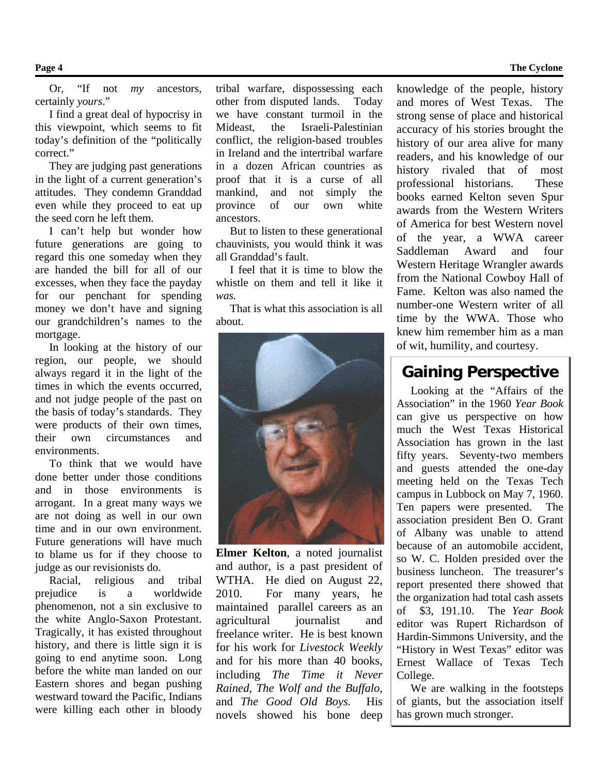### Or, "If not *my* ancestors, certainly *yours*."

I find a great deal of hypocrisy in this viewpoint, which seems to fit today's definition of the "politically correct."

 They are judging past generations in the light of a current generation's attitudes. They condemn Granddad even while they proceed to eat up the seed corn he left them.

 I can't help but wonder how future generations are going to regard this one someday when they are handed the bill for all of our excesses, when they face the payday for our penchant for spending money we don't have and signing our grandchildren's names to the mortgage.

In looking at the history of our region, our people, we should always regard it in the light of the times in which the events occurred, and not judge people of the past on the basis of today's standards. They were products of their own times, their own circumstances and environments.

 To think that we would have done better under those conditions and in those environments is arrogant. In a great many ways we are not doing as well in our own time and in our own environment. Future generations will have much to blame us for if they choose to judge as our revisionists do.

 Racial, religious and tribal prejudice is a worldwide phenomenon, not a sin exclusive to the white Anglo-Saxon Protestant. Tragically, it has existed throughout history, and there is little sign it is going to end anytime soon. Long before the white man landed on our Eastern shores and began pushing westward toward the Pacific, Indians were killing each other in bloody

tribal warfare, dispossessing each other from disputed lands. Today we have constant turmoil in the Mideast, the Israeli-Palestinian conflict, the religion-based troubles in Ireland and the intertribal warfare in a dozen African countries as proof that it is a curse of all mankind, and not simply the province of our own white ancestors.

 But to listen to these generational chauvinists, you would think it was all Granddad's fault.

I feel that it is time to blow the whistle on them and tell it like it *was.*

That is what this association is all about.



**Elmer Kelton**, a noted journalist and author, is a past president of WTHA. He died on August 22, 2010. For many years, he maintained parallel careers as an agricultural journalist and freelance writer. He is best known for his work for *Livestock Weekly*  and for his more than 40 books, including *The Time it Never Rained, The Wolf and the Buffalo*, and *The Good Old Boys.* His novels showed his bone deep

knowledge of the people, history and mores of West Texas. The strong sense of place and historical accuracy of his stories brought the history of our area alive for many readers, and his knowledge of our history rivaled that of most professional historians. These books earned Kelton seven Spur awards from the Western Writers of America for best Western novel of the year, a WWA career Saddleman Award and four Western Heritage Wrangler awards from the National Cowboy Hall of Fame. Kelton was also named the number-one Western writer of all time by the WWA. Those who knew him remember him as a man of wit, humility, and courtesy.

### **Gaining Perspective**

 Looking at the "Affairs of the Association" in the 1960 *Year Book* can give us perspective on how much the West Texas Historical Association has grown in the last fifty years. Seventy-two members and guests attended the one-day meeting held on the Texas Tech campus in Lubbock on May 7, 1960. Ten papers were presented. The association president Ben O. Grant of Albany was unable to attend because of an automobile accident, so W. C. Holden presided over the business luncheon. The treasurer's report presented there showed that the organization had total cash assets of \$3, 191.10. The *Year Book* editor was Rupert Richardson of Hardin-Simmons University, and the "History in West Texas" editor was Ernest Wallace of Texas Tech College.

 We are walking in the footsteps of giants, but the association itself has grown much stronger.

#### **Page 4 The Cyclone**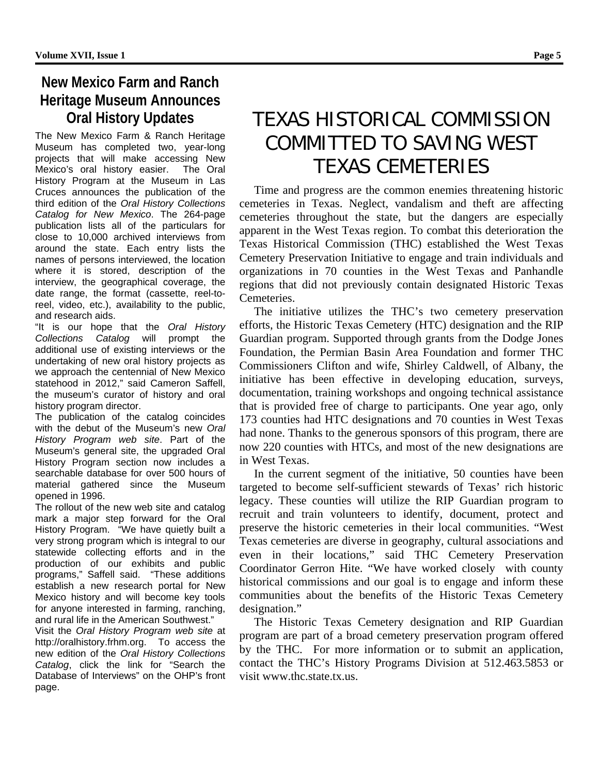### **New Mexico Farm and Ranch Heritage Museum Announces Oral History Updates**

The New Mexico Farm & Ranch Heritage Museum has completed two, year-long projects that will make accessing New Mexico's oral history easier. The Oral History Program at the Museum in Las Cruces announces the publication of the third edition of the *Oral History Collections Catalog for New Mexico*. The 264-page publication lists all of the particulars for close to 10,000 archived interviews from around the state. Each entry lists the names of persons interviewed, the location where it is stored, description of the interview, the geographical coverage, the date range, the format (cassette, reel-toreel, video, etc.), availability to the public, and research aids.

"It is our hope that the *Oral History Collections Catalog* will prompt the additional use of existing interviews or the undertaking of new oral history projects as we approach the centennial of New Mexico statehood in 2012," said Cameron Saffell, the museum's curator of history and oral history program director.

The publication of the catalog coincides with the debut of the Museum's new *Oral History Program web site*. Part of the Museum's general site, the upgraded Oral History Program section now includes a searchable database for over 500 hours of material gathered since the Museum opened in 1996.

The rollout of the new web site and catalog mark a major step forward for the Oral History Program. "We have quietly built a very strong program which is integral to our statewide collecting efforts and in the production of our exhibits and public programs," Saffell said. "These additions establish a new research portal for New Mexico history and will become key tools for anyone interested in farming, ranching, and rural life in the American Southwest."

Visit the *Oral History Program web site* at http://oralhistory.frhm.org. To access the new edition of the *Oral History Collections Catalog*, click the link for "Search the Database of Interviews" on the OHP's front page.

## TEXAS HISTORICAL COMMISSION COMMITTED TO SAVING WEST TEXAS CEMETERIES

Time and progress are the common enemies threatening historic cemeteries in Texas. Neglect, vandalism and theft are affecting cemeteries throughout the state, but the dangers are especially apparent in the West Texas region. To combat this deterioration the Texas Historical Commission (THC) established the West Texas Cemetery Preservation Initiative to engage and train individuals and organizations in 70 counties in the West Texas and Panhandle regions that did not previously contain designated Historic Texas Cemeteries.

The initiative utilizes the THC's two cemetery preservation efforts, the Historic Texas Cemetery (HTC) designation and the RIP Guardian program. Supported through grants from the Dodge Jones Foundation, the Permian Basin Area Foundation and former THC Commissioners Clifton and wife, Shirley Caldwell, of Albany, the initiative has been effective in developing education, surveys, documentation, training workshops and ongoing technical assistance that is provided free of charge to participants. One year ago, only 173 counties had HTC designations and 70 counties in West Texas had none. Thanks to the generous sponsors of this program, there are now 220 counties with HTCs, and most of the new designations are in West Texas.

 In the current segment of the initiative, 50 counties have been targeted to become self-sufficient stewards of Texas' rich historic legacy. These counties will utilize the RIP Guardian program to recruit and train volunteers to identify, document, protect and preserve the historic cemeteries in their local communities. "West Texas cemeteries are diverse in geography, cultural associations and even in their locations," said THC Cemetery Preservation Coordinator Gerron Hite. "We have worked closely with county historical commissions and our goal is to engage and inform these communities about the benefits of the Historic Texas Cemetery designation."

 The Historic Texas Cemetery designation and RIP Guardian program are part of a broad cemetery preservation program offered by the THC. For more information or to submit an application, contact the THC's History Programs Division at 512.463.5853 or visit www.thc.state.tx.us.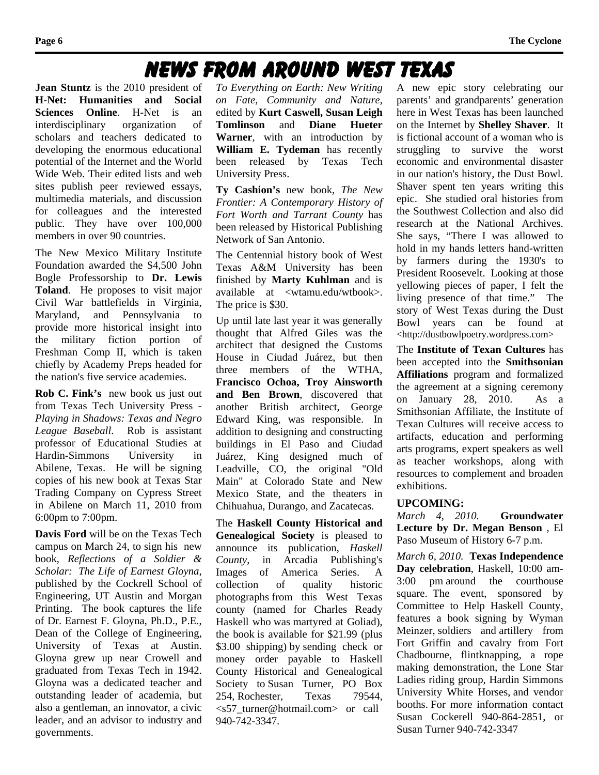## News From Around West Texas

**Jean Stuntz** is the 2010 president of **H-Net: Humanities and Social Sciences Online**. H-Net is an interdisciplinary organization of scholars and teachers dedicated to developing the enormous educational potential of the Internet and the World Wide Web. Their edited lists and web sites publish peer reviewed essays, multimedia materials, and discussion for colleagues and the interested public. They have over 100,000 members in over 90 countries.

The New Mexico Military Institute Foundation awarded the \$4,500 John Bogle Professorship to **Dr. Lewis Toland**. He proposes to visit major Civil War battlefields in Virginia, Maryland, and Pennsylvania to provide more historical insight into the military fiction portion of Freshman Comp II, which is taken chiefly by Academy Preps headed for the nation's five service academies.

**Rob C. Fink's** new book us just out from Texas Tech University Press - *Playing in Shadows: Texas and Negro League Baseball*. Rob is assistant professor of Educational Studies at Hardin-Simmons University in Abilene, Texas. He will be signing copies of his new book at Texas Star Trading Company on Cypress Street in Abilene on March 11, 2010 from 6:00pm to 7:00pm.

**Davis Ford** will be on the Texas Tech campus on March 24, to sign his new book, *Reflections of a Soldier & Scholar: The Life of Earnest Gloyna*, published by the Cockrell School of Engineering, UT Austin and Morgan Printing. The book captures the life of Dr. Earnest F. Gloyna, Ph.D., P.E., Dean of the College of Engineering, University of Texas at Austin. Gloyna grew up near Crowell and graduated from Texas Tech in 1942. Gloyna was a dedicated teacher and outstanding leader of academia, but also a gentleman, an innovator, a civic leader, and an advisor to industry and governments.

*To Everything on Earth: New Writing on Fate, Community and Nature*, edited by **Kurt Caswell, Susan Leigh Tomlinson** and **Diane Hueter Warner**, with an introduction by **William E. Tydeman** has recently been released by Texas Tech University Press.

**Ty Cashion's** new book, *The New Frontier: A Contemporary History of Fort Worth and Tarrant County* has been released by Historical Publishing Network of San Antonio.

The Centennial history book of West Texas A&M University has been finished by **Marty Kuhlman** and is available at <wtamu.edu/wtbook>. The price is \$30.

Up until late last year it was generally thought that Alfred Giles was the architect that designed the Customs House in Ciudad Juárez, but then three members of the WTHA, **Francisco Ochoa, Troy Ainsworth and Ben Brown**, discovered that another British architect, George Edward King, was responsible. In addition to designing and constructing buildings in El Paso and Ciudad Juárez, King designed much of Leadville, CO, the original "Old Main" at Colorado State and New Mexico State, and the theaters in Chihuahua, Durango, and Zacatecas.

The **Haskell County Historical and Genealogical Society** is pleased to announce its publication, *Haskell County*, in Arcadia Publishing's Images of America Series. A collection of quality historic photographs from this West Texas county (named for Charles Ready Haskell who was martyred at Goliad), the book is available for \$21.99 (plus \$3.00 shipping) by sending check or money order payable to Haskell County Historical and Genealogical Society to Susan Turner, PO Box 254, Rochester, Texas 79544, <s57\_turner@hotmail.com> or call 940-742-3347.

A new epic story celebrating our parents' and grandparents' generation here in West Texas has been launched on the Internet by **Shelley Shaver**. It is fictional account of a woman who is struggling to survive the worst economic and environmental disaster in our nation's history, the Dust Bowl. Shaver spent ten years writing this epic. She studied oral histories from the Southwest Collection and also did research at the National Archives. She says, "There I was allowed to hold in my hands letters hand-written by farmers during the 1930's to President Roosevelt. Looking at those yellowing pieces of paper, I felt the living presence of that time." The story of West Texas during the Dust Bowl years can be found at <http://dustbowlpoetry.wordpress.com>

The **Institute of Texan Cultures** has been accepted into the **Smithsonian Affiliations** program and formalized the agreement at a signing ceremony on January 28, 2010. As a Smithsonian Affiliate, the Institute of Texan Cultures will receive access to artifacts, education and performing arts programs, expert speakers as well as teacher workshops, along with resources to complement and broaden exhibitions.

### **UPCOMING:**

*March 4, 2010.* **Groundwater Lecture by Dr. Megan Benson** , El Paso Museum of History 6-7 p.m.

*March 6, 2010.* **Texas Independence Day celebration**, Haskell, 10:00 am-3:00 pm around the courthouse square. The event, sponsored by Committee to Help Haskell County, features a book signing by Wyman Meinzer, soldiers and artillery from Fort Griffin and cavalry from Fort Chadbourne, flintknapping, a rope making demonstration, the Lone Star Ladies riding group, Hardin Simmons University White Horses, and vendor booths. For more information contact Susan Cockerell 940-864-2851, or Susan Turner 940-742-3347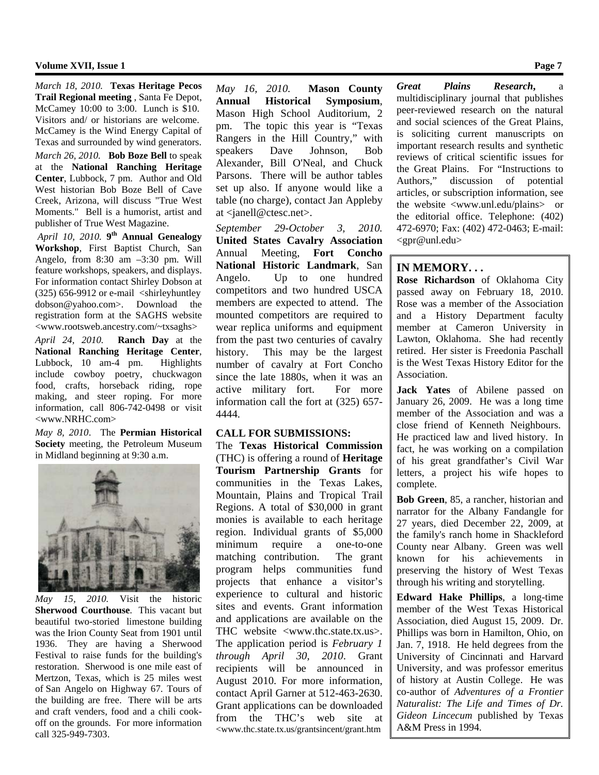*March 18, 2010.* **Texas Heritage Pecos Trail Regional meeting** , Santa Fe Depot, McCamey 10:00 to 3:00. Lunch is \$10. Visitors and/ or historians are welcome. McCamey is the Wind Energy Capital of Texas and surrounded by wind generators.

*March 26, 2010.* **Bob Boze Bell** to speak at the **National Ranching Heritage Center**, Lubbock, 7 pm. Author and Old West historian Bob Boze Bell of Cave Creek, Arizona, will discuss "True West Moments." Bell is a humorist, artist and publisher of True West Magazine.

*April 10, 2010.* **9th Annual Genealogy Workshop**, First Baptist Church, San Angelo, from 8:30 am –3:30 pm. Will feature workshops, speakers, and displays. For information contact Shirley Dobson at (325) 656-9912 or e-mail <shirleyhuntley dobson@yahoo.com>. Download the registration form at the SAGHS website <www.rootsweb.ancestry.com/~txsaghs>

*April 24, 2010.* **Ranch Day** at the **National Ranching Heritage Center**, Lubbock, 10 am-4 pm. Highlights include cowboy poetry, chuckwagon food, crafts, horseback riding, rope making, and steer roping. For more information, call 806-742-0498 or visit <www.NRHC.com>

*May 8, 2010*. The **Permian Historical Society** meeting, the Petroleum Museum in Midland beginning at 9:30 a.m.



*May 15, 2010.* Visit the historic **Sherwood Courthouse**. This vacant but beautiful two-storied limestone building was the Irion County Seat from 1901 until 1936. They are having a Sherwood Festival to raise funds for the building's restoration. Sherwood is one mile east of Mertzon, Texas, which is 25 miles west of San Angelo on Highway 67. Tours of the building are free. There will be arts and craft venders, food and a chili cookoff on the grounds. For more information call 325-949-7303.

*May 16, 2010.* **Mason County Annual Historical Symposium**, Mason High School Auditorium, 2 pm. The topic this year is "Texas Rangers in the Hill Country," with speakers Dave Johnson, Bob Alexander, Bill O'Neal, and Chuck Parsons. There will be author tables set up also. If anyone would like a table (no charge), contact Jan Appleby at <janell@ctesc.net>.

*September 29-October 3, 2010.*  **United States Cavalry Association**  Annual Meeting, **Fort Concho National Historic Landmark**, San Angelo. Up to one hundred competitors and two hundred USCA members are expected to attend. The mounted competitors are required to wear replica uniforms and equipment from the past two centuries of cavalry history. This may be the largest number of cavalry at Fort Concho since the late 1880s, when it was an active military fort. For more information call the fort at (325) 657- 4444.

#### **CALL FOR SUBMISSIONS:**

The **Texas Historical Commission** (THC) is offering a round of **Heritage Tourism Partnership Grants** for communities in the Texas Lakes, Mountain, Plains and Tropical Trail Regions. A total of \$30,000 in grant monies is available to each heritage region. Individual grants of \$5,000 minimum require a one-to-one matching contribution. The grant program helps communities fund projects that enhance a visitor's experience to cultural and historic sites and events. Grant information and applications are available on the THC website <www.thc.state.tx.us>. The application period is *February 1 through April 30, 2010*. Grant recipients will be announced in August 2010. For more information, contact April Garner at 512-463-2630. Grant applications can be downloaded from the THC's web site at <www.thc.state.tx.us/grantsincent/grant.htm

*Great Plains Research***,** a multidisciplinary journal that publishes peer-reviewed research on the natural and social sciences of the Great Plains, is soliciting current manuscripts on important research results and synthetic reviews of critical scientific issues for the Great Plains. For "Instructions to Authors," discussion of potential articles, or subscription information, see the website <www.unl.edu/plains> or the editorial office. Telephone: (402) 472-6970; Fax: (402) 472-0463; E-mail: <gpr@unl.edu>

#### **IN MEMORY. . .**

**Rose Richardson** of Oklahoma City passed away on February 18, 2010. Rose was a member of the Association and a History Department faculty member at Cameron University in Lawton, Oklahoma. She had recently retired. Her sister is Freedonia Paschall is the West Texas History Editor for the Association.

**Jack Yates** of Abilene passed on January 26, 2009. He was a long time member of the Association and was a close friend of Kenneth Neighbours. He practiced law and lived history. In fact, he was working on a compilation of his great grandfather's Civil War letters, a project his wife hopes to complete.

**Bob Green**, 85, a rancher, historian and narrator for the Albany Fandangle for 27 years, died December 22, 2009, at the family's ranch home in Shackleford County near Albany. Green was well known for his achievements in preserving the history of West Texas through his writing and storytelling.

**Edward Hake Phillips**, a long-time member of the West Texas Historical Association, died August 15, 2009. Dr. Phillips was born in Hamilton, Ohio, on Jan. 7, 1918. He held degrees from the University of Cincinnati and Harvard University, and was professor emeritus of history at Austin College. He was co-author of *Adventures of a Frontier Naturalist: The Life and Times of Dr. Gideon Lincecum* published by Texas A&M Press in 1994.